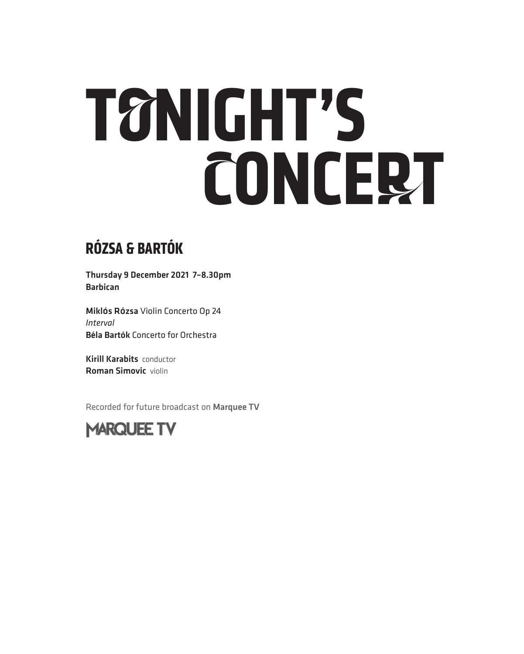# **TONIGHT'S CONCERT**

## **RÓZSA & BARTÓK**

Thursday 9 December 2021 7–8.30pm Barbican

Miklós Rózsa Violin Concerto Op 24 *Interval* Béla Bartók Concerto for Orchestra

Kirill Karabits conductor Roman Simovic violin

Recorded for future broadcast on Marquee TV

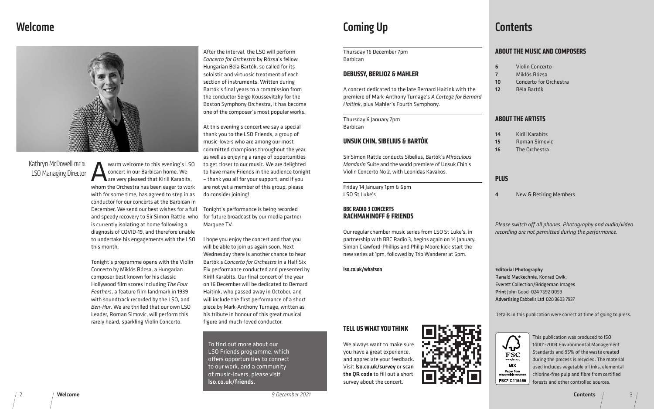## Welcome



This publication was produced to ISO 14001-2004 Environmental Management Standards and 95% of the waste created during the process is recycled. The material used includes vegetable oil inks, elemental chlorine-free pulp and fibre from certified forests and other controlled sources.

**Contents** 

## Coming Up

Warm welcome to this evening's LSO<br>
concert in our Barbican home. We<br>
are very pleased that Kirill Karabits,<br>
whom the Orchestra has been eager to work concert in our Barbican home. We are very pleased that Kirill Karabits, whom the Orchestra has been eager to work with for some time, has agreed to step in as conductor for our concerts at the Barbican in December. We send our best wishes for a full and speedy recovery to Sir Simon Rattle, who is currently isolating at home following a diagnosis of COVID-19, and therefore unable to undertake his engagements with the LSO this month.

Tonight's programme opens with the Violin Concerto by Miklós Rózsa, a Hungarian composer best known for his classic Hollywood film scores including *The Four Feathers*, a feature film landmark in 1939 with soundtrack recorded by the LSO, and *Ben-Hur*. We are thrilled that our own LSO Leader, Roman Simovic, will perform this rarely heard, sparkling Violin Concerto.

## Kathryn McDowell CBE DL LSO Managing Director

After the interval, the LSO will perform *Concerto for Orchestra* by Rózsa's fellow Hungarian Béla Bartók, so called for its soloistic and virtuosic treatment of each section of instruments. Written during Bartók's final years to a commission from the conductor Serge Koussevitzky for the Boston Symphony Orchestra, it has become one of the composer's most popular works.

> *Please switch off all phones. Photography and audio/video r* not permitted during the performance.

ography: echnie, Konrad Cwik, tion/Bridgeman Images od 024 7692 0059 bbells Ltd 020 3603 7937

publication were correct at time of going to press.



At this evening's concert we say a special thank you to the LSO Friends, a group of music-lovers who are among our most committed champions throughout the year, as well as enjoying a range of opportunities to get closer to our music. We are delighted to have many Friends in the audience tonight – thank you all for your support, and if you are not yet a member of this group, please do consider joining!

2 / Welcome / welcome / welcome / 3 December 2021 / 3 December 2021 / 3 December 2021 / 2 December 2021 / 3 December 2021 / 3 December 2021 / 3 December 2021 / 3 December 2021 / 3 December 2021 / 3 December 2021 / 3 Decemb *9 December 2021*

## **Contents**

## **MUSIC AND COMPOSERS**

in Concerto lós Rózsa certo for Orchestra a Bartók

## **ARTISTS**

I Karabits nan Simovic **Orchestra** 

J & Retiring Members

Tonight's performance is being recorded for future broadcast by our media partner Marquee TV.

I hope you enjoy the concert and that you will be able to join us again soon. Next Wednesday there is another chance to hear Bartók's *Concerto for Orchestra* in a Half Six Fix performance conducted and presented by Kirill Karabits. Our final concert of the year on 16 December will be dedicated to Bernard Haitink, who passed away in October, and will include the first performance of a short piece by Mark-Anthony Turnage, written as his tribute in honour of this great musical figure and much-loved conductor.

| Thursday 16 December 7pm<br><b>Barbican</b>                                                                                                                                                                                             |                                | <b>ABOUT THE</b>                                                                                                   |  |
|-----------------------------------------------------------------------------------------------------------------------------------------------------------------------------------------------------------------------------------------|--------------------------------|--------------------------------------------------------------------------------------------------------------------|--|
| <b>DEBUSSY, BERLIOZ &amp; MAHLER</b>                                                                                                                                                                                                    | 6<br>$\overline{7}$<br>10      | Viol<br>Mikl<br>Con                                                                                                |  |
| A concert dedicated to the late Bernard Haitink with the<br>premiere of Mark-Anthony Turnage's A Cortege for Bernard<br>Haitink, plus Mahler's Fourth Symphony.                                                                         | 12                             | Béla                                                                                                               |  |
| Thursday 6 January 7pm<br><b>Barbican</b>                                                                                                                                                                                               | <b>ABOUT THE</b>               |                                                                                                                    |  |
| UNSUK CHIN, SIBELIUS & BARTÓK                                                                                                                                                                                                           | 14<br>15<br>16                 | Kiril<br>Ron<br>The                                                                                                |  |
| Sir Simon Rattle conducts Sibelius, Bartók's Miraculous<br>Mandarin Suite and the world premiere of Unsuk Chin's                                                                                                                        |                                |                                                                                                                    |  |
| Violin Concerto No 2, with Leonidas Kavakos.                                                                                                                                                                                            | <b>PLUS</b>                    |                                                                                                                    |  |
| Friday 14 January 1pm & 6pm<br>LSO St Luke's                                                                                                                                                                                            | 4                              | New                                                                                                                |  |
| <b>BBC RADIO 3 CONCERTS</b><br><b>RACHMANINOFF &amp; FRIENDS</b>                                                                                                                                                                        |                                |                                                                                                                    |  |
| Our regular chamber music series from LSO St Luke's, in<br>partnership with BBC Radio 3, begins again on 14 January.<br>Simon Crawford-Phillips and Philip Moore kick-start the<br>new series at 1pm, followed by Trio Wanderer at 6pm. | Please switch<br>recording are |                                                                                                                    |  |
| Iso.co.uk/whatson                                                                                                                                                                                                                       |                                | <b>Editorial Phot</b><br><b>Ranald Macke</b><br><b>Everett Collect</b><br>Print John Goo<br><b>Advertising Cal</b> |  |
|                                                                                                                                                                                                                                         | Details in this                |                                                                                                                    |  |

To find out more about our LSO Friends programme, which offers opportunities to connect to our work, and a community of music-lovers, please visit lso.co.uk/friends.

## **TELL US WHAT YOU THINK**

We always want to make sure you have a great experience, and appreciate your feedback. Visit lso.co.uk/survey or scan the QR code to fill out a short survey about the concert.



 $\sqrt{4}$ **FSC MIX** Paper from FSC<sup>®</sup> C115465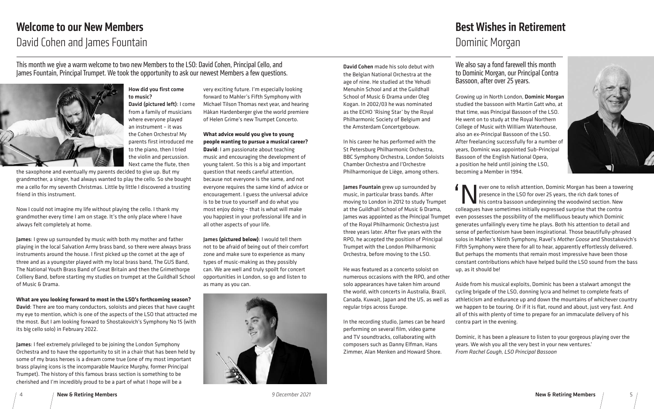4 New & Retiring Members *9 December 2021* New & Retiring Members 5

#### How did you first come to music?

David (pictured left): I come from a family of musicians where everyone played an instrument – it was the Cohen Orchestra! My parents first introduced me to the piano, then I tried the violin and percussion. Next came the flute, then

the saxophone and eventually my parents decided to give up. But my grandmother, a singer, had always wanted to play the cello. So she bought me a cello for my seventh Christmas. Little by little I discovered a trusting friend in this instrument.

Now I could not imagine my life without playing the cello. I thank my grandmother every time I am on stage. It's the only place where I have always felt completely at home.

James: I grew up surrounded by music with both my mother and father playing in the local Salvation Army brass band, so there were always brass instruments around the house. I first picked up the cornet at the age of three and as a youngster played with my local brass band, The GUS Band, The National Youth Brass Band of Great Britain and then the Grimethorpe Colliery Band, before starting my studies on trumpet at the Guildhall School of Music & Drama.

**What are you looking forward to most in the LSO's forthcoming season?**

David: There are too many conductors, soloists and pieces that have caught my eye to mention, which is one of the aspects of the LSO that attracted me the most. But I am looking forward to Shostakovich's Symphony No 15 (with its big cello solo) in February 2022.

James: I feel extremely privileged to be joining the London Symphony Orchestra and to have the opportunity to sit in a chair that has been held by some of my brass heroes is a dream come true (one of my most important brass playing icons is the incomparable Maurice Murphy, former Principal Trumpet). The history of this famous brass section is something to be cherished and I'm incredibly proud to be a part of what I hope will be a

very exciting future. I'm especially looking forward to Mahler's Fifth Symphony with Michael Tilson Thomas next year, and hearing Håkan Hardenberger give the world premiere of Helen Grime's new Trumpet Concerto.

#### **What advice would you give to young people wanting to pursue a musical career?**

**P** ever one to relish attention, Dominic Morgan has been a towering presence in the LSO for over 25 years, the rich dark tones of his contra bassoon underpinning the woodwind section. New colleagues have sometimes initially expressed surprise that the contra even possesses the possibility of the mellifluous beauty which Dominic generates unfailingly every time he plays. Both his attention to detail and sense of perfectionism have been inspirational. Those beautifully-phrased solos in Mahler's Ninth Symphony, Ravel's *Mother Goose* and Shostakovich's Fifth Symphony were there for all to hear, apparently effortlessly delivered. But perhaps the moments that remain most impressive have been those constant contributions which have helped build the LSO sound from the bass up, as it should be!

**David**: I am passionate about teaching music and encouraging the development of young talent. So this is a big and important question that needs careful attention, because not everyone is the same, and not everyone requires the same kind of advice or encouragement. I guess the universal advice is to be true to yourself and do what you most enjoy doing – that is what will make you happiest in your professional life and in all other aspects of your life.

James **(pictured below)**: I would tell them not to be afraid of being out of their comfort zone and make sure to experience as many types of music-making as they possibly can. We are well and truly spoilt for concert opportunities in London, so go and listen to as many as you can.



# Welcome to our New Members David Cohen and James Fountain

This month we give a warm welcome to two new Members to the LSO: David Cohen, Principal Cello, and James Fountain, Principal Trumpet. We took the opportunity to ask our newest Members a few questions.



We also say a fond farewell this month to Dominic Morgan, our Principal Contra Bassoon, after over 25 years.

Growing up in North London, Dominic Morgan studied the bassoon with Martin Gatt who, at that time, was Principal Bassoon of the LSO. He went on to study at the Royal Northern College of Music with William Waterhouse, also an ex-Principal Bassoon of the LSO. After freelancing successfully for a number of years, Dominic was appointed Sub-Principal Bassoon of the English National Opera, a position he held until joining the LSO, becoming a Member in 1994.

Aside from his musical exploits, Dominic has been a stalwart amongst the cycling brigade of the LSO, donning lycra and helmet to complete feats of athleticism and endurance up and down the mountains of whichever country we happen to be touring. Or if it is flat, round and about, just very fast. And all of this with plenty of time to prepare for an immaculate delivery of his contra part in the evening.

Dominic, it has been a pleasure to listen to your gorgeous playing over the years. We wish you all the very best in your new ventures.' *From Rachel Gough, LSO Principal Bassoon*



David Cohen made his solo debut with the Belgian National Orchestra at the age of nine. He studied at the Yehudi Menuhin School and at the Guildhall School of Music & Drama under Oleg Kogan. In 2002/03 he was nominated as the ECHO 'Rising Star' by the Royal Philharmonic Society of Belgium and the Amsterdam Concertgebouw.

In his career he has performed with the St Petersburg Philharmonic Orchestra, BBC Symphony Orchestra, London Soloists Chamber Orchestra and l'Orchestre Philharmonique de Liège, among others.

James Fountain grew up surrounded by music, in particular brass bands. After moving to London in 2012 to study Trumpet at the Guildhall School of Music & Drama, James was appointed as the Principal Trumpe of the Royal Philharmonic Orchestra just three years later. After five years with the RPO, he accepted the position of Principal Trumpet with the London Philharmonic Orchestra, before moving to the LSO.

He was featured as a concerto soloist on numerous occasions with the RPO, and other solo appearances have taken him around the world, with concerts in Australia, Brazil, Canada, Kuwait, Japan and the US, as well as regular trips across Europe.

In the recording studio, James can be heard performing on several film, video game and TV soundtracks, collaborating with composers such as Danny Elfman, Hans Zimmer, Alan Menken and Howard Shore.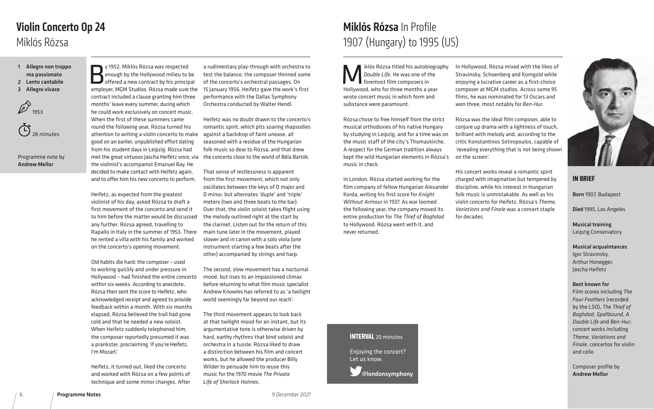iklós Rózsa titled his autobiography *Double Life*. He was one of the foremost film composers in Hollywood, who for three months a year wrote concert music in which form and substance were paramount.

Rózsa chose to free himself from the strict musical orthodoxies of his native Hungary by studying in Leipzig, and for a time was on the music staff of the city's Thomaskirche. A respect for the German tradition always kept the wild Hungarian elements in Rózsa's music in check.

In London, Rózsa started working for the film company of fellow Hungarian Alexander Korda, writing his first score for *Knight Without Armour* in 1937. As war loomed the following year, the company moved its entire production for *The Thief of Baghdad*  to Hollywood. Rózsa went with it, and never returned.

In Hollywood, Rózsa mixed with the likes of Stravinsky, Schoenberg and Korngold while enjoying a lucrative career as a first-choice composer at MGM studios. Across some 95 films, he was nominated for 13 Oscars and won three, most notably for *Ben-Hur*.

y 1952, Miklós Rózsa was respected<br>enough by the Hollywood milieu to b<br>offered a new contract by his princip<br>employer MCM Studios Rózsa made sure enough by the Hollywood milieu to be offered a new contract by his principal employer, MGM Studios. Rózsa made sure the contract included a clause granting him three months' leave every summer, during which he could work exclusively on concert music. When the first of these summers came round the following year, Rózsa turned his attention to writing a violin concerto to make good on an earlier, unpublished effort dating from his student days in Leipzig. Rózsa had met the great virtuoso Jascha Heifetz once, via the concerto close to the world of Béla Bartók. the violinist's accompanist Emanuel Bay. He decided to make contact with Heifetz again, and to offer him his new concerto to perform.

Rózsa was the ideal film composer, able to conjure up drama with a lightness of touch, brilliant with melody and, according to the critic Konstantinos Sotiropoulos, capable of 'revealing everything that is not being shown on the screen'.

His concert works reveal a romantic spirit charged with imagination but tempered by discipline, while his interest in Hungarian folk music is unmistakable. As well as his violin concerto for Heifetz, Rózsa's *Theme, Variations and Finale* was a concert staple for decades.

Heifetz, as expected from the greatest violinist of his day, asked Rózsa to draft a first movement of the concerto and send it to him before the matter would be discussed any further. Rózsa agreed, travelling to Rapallo in Italy in the summer of 1953. There he rented a villa with his family and worked on the concerto's opening movement.

**门** 28 minutes

> Old habits die hard: the composer – used to working quickly and under pressure in Hollywood – had finished the entire concerto within six weeks. According to anecdote, Rózsa then sent the score to Heifetz, who acknowledged receipt and agreed to provide feedback within a month. With six months elapsed, Rózsa believed the trail had gone cold and that he needed a new soloist. When Heifetz suddenly telephoned him, the composer reportedly presumed it was a prankster, proclaiming 'if you're Heifetz, I'm Mozart.'

Heifetz, it turned out, liked the concerto and worked with Rózsa on a few points of technique and some minor changes. After

a rudimentary play-through with orchestra to test the balance, the composer thinned some of the concerto's orchestral passages. On 15 January 1956, Heifetz gave the work's first performance with the Dallas Symphony Orchestra conducted by Walter Hendl.

Heifetz was no doubt drawn to the concerto's romantic spirit, which pits soaring rhapsodies against a backdrop of faint unease, all seasoned with a residue of the Hungarian folk music so dear to Rózsa, and that drew

That sense of restlessness is apparent from the first movement, which not only oscillates between the keys of D major and D minor, but alternates 'duple' and 'triple' meters (two and three beats to the bar). Over that, the violin soloist takes flight using the melody outlined right at the start by the clarinet. Listen out for the return of this main tune later in the movement, played slower and in canon with a solo viola (one instrument starting a few beats after the other) accompanied by strings and harp.

The second, slow movement has a nocturnal mood, but rises to an impassioned climax before returning to what film music specialist Andrew Knowles has referred to as 'a twilight world seemingly far beyond our reach'.

The third movement appears to look back at that twilight mood for an instant, but its argumentative tone is otherwise driven by hard, earthy rhythms that bind soloist and orchestra in a tussle. Rózsa liked to draw a distinction between his film and concert works, but he allowed the producer Billy Wilder to persuade him to reuse this music for the 1970 movie *The Private Life of Sherlock Holmes*.

## Miklós Rózsa Violin Concerto Op 24

1 Allegro non troppo

- ma passionato
- 2 Lento cantabile
- 3 Allegro vivace



Programme note by Andrew Mellor

# Miklós Rózsa In Profile 1907 (Hungary) to 1995 (US)



### **IN BRIEF**

Born 1907, Budapest

Died 1995, Los Angeles

Musical training Leipzig Conservatory

## Musical acquaintances

Igor Stravinsky, Arthur Honegger, Jascha Heifetz

#### Best known for

Film scores including *The Four Feathers* (recorded by the LSO), *The Thief of Baghdad*, *Spellbound*, *A Double Life* and *Ben-Hur*; concert works including *Theme, Variations and Finale*, concertos for violin and cello

Composer profile by Andrew Mellor

# **INTERVAL** 20 minutes

Enjoying the concert? Let us know.

@londonsymphony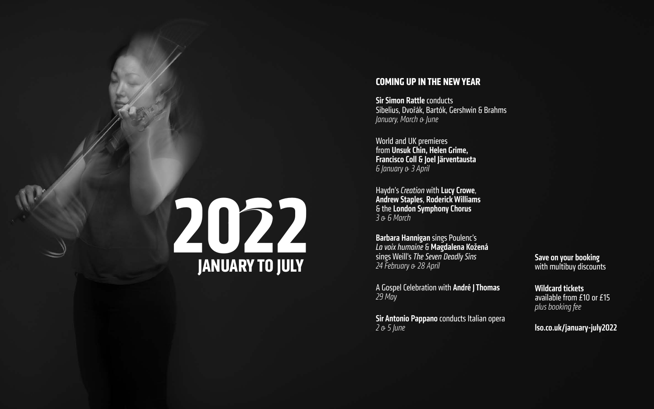## **COMING UP IN THE NEW YEAR**

**Sir Simon Rattle conducts** Sibelius, Dvořák, Bartók, Gershwin & Brahms *January, March & June*

World and UK premieres from Unsuk Chin, Helen Grime, Francisco Coll & Joel Järventausta *6 January & 3 April*

Haydn's *Creation* with Lucy Crowe, Andrew Staples, Roderick Williams & the London Symphony Chorus *3 & 6 March*

# **2022** Sings Weill's *The Seven Deadly Sins* Save on your booking<br>24 February & 28 April 28 April 28 April 28 April 24 February 8 28 April 28 April 28 April 28 April 28 April 28 April 28 April 2011

# with multibuy discounts

Barbara Hannigan sings Poulenc's *La voix humaine* & Magdalena Kožená sings Weill's *The Seven Deadly Sins 24 February & 28 April*

A Gospel Celebration with André J Thomas *29 May*

Sir Antonio Pappano conducts Italian opera *2 & 5 June*

## Wildcard tickets available from £10 or £15 *plus booking fee*

## lso.co.uk/january-july2022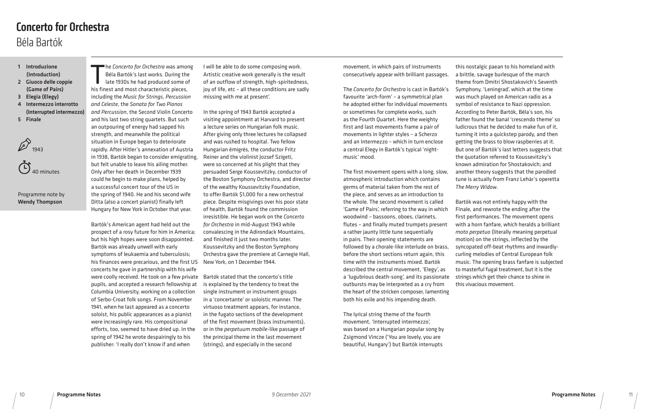he Concerto for Orchestra was amor<br>Béla Bartók's last works. During the<br>late 1930s he had produced some of<br>his finest and most characteristic pieces, he *Concerto for Orchestra* was among Béla Bartók's last works. During the late 1930s he had produced some of including the *Music for Strings, Percussion and Celeste*, the *Sonata for Two Pianos and Percussion*, the Second Violin Concerto and his last two string quartets. But such an outpouring of energy had sapped his strength, and meanwhile the political situation in Europe began to deteriorate rapidly. After Hitler's annexation of Austria in 1938, Bartók began to consider emigrating, but felt unable to leave his ailing mother. Only after her death in December 1939 could he begin to make plans, helped by a successful concert tour of the US in the spring of 1940. He and his second wife Ditta (also a concert pianist) finally left Hungary for New York in October that year.

Bartók's American agent had held out the prospect of a rosy future for him in America; but his high hopes were soon disappointed. Bartók was already unwell with early symptoms of leukaemia and tuberculosis; his finances were precarious, and the first US concerts he gave in partnership with his wife were coolly received. He took on a few private Bartók stated that the concerto's title pupils, and accepted a research fellowship at Columbia University, working on a collection of Serbo-Croat folk songs. From November 1941, when he last appeared as a concerto soloist, his public appearances as a pianist were increasingly rare. His compositional efforts, too, seemed to have dried up. In the spring of 1942 he wrote despairingly to his publisher: 'I really don't know if and when

I will be able to do some composing work. Artistic creative work generally is the result of an outflow of strength, high-spiritedness, joy of life, etc – all these conditions are sadly missing with me at present'.

In the spring of 1943 Bartók accepted a visiting appointment at Harvard to present a lecture series on Hungarian folk music. After giving only three lectures he collapsed and was rushed to hospital. Two fellow Hungarian émigrés, the conductor Fritz Reiner and the violinist Jozsef Szigeti, were so concerned at his plight that they persuaded Serge Koussevitzky, conductor of the Boston Symphony Orchestra, and director of the wealthy Koussevitzky Foundation, to offer Bartók \$1,000 for a new orchestral piece. Despite misgivings over his poor state of health, Bartók found the commission irresistible. He began work on the *Concerto for Orchestra* in mid-August 1943 while convalescing in the Adirondack Mountains, and finished it just two months later. Koussevitzky and the Boston Symphony Orchestra gave the premiere at Carnegie Hall, New York, on 1 December 1944.

is explained by the tendency to treat the single instrument or instrument groups in a 'concertante' or soloistic manner. The virtuoso treatment appears, for instance, in the fugato sections of the development of the first movement (brass instruments), or in the *perpetuum mobile*-like passage of the principal theme in the last movement (strings), and especially in the second

## 1 Introduzione

- (Introduction)
- 2 Giuoco delle coppie (Game of Pairs)
- 3 Elegia (Elegy)
- 4 Intermezzo interrotto (Interrupted intermezzo)
- 5 Finale



#### Programme note by Wendy Thompson

## Béla Bartók Concerto for Orchestra

movement, in which pairs of instruments consecutively appear with brilliant passages.

The *Concerto for Orchestra* is cast in Bartók's favourite 'arch-form' – a symmetrical plan he adopted either for individual movements or sometimes for complete works, such as the Fourth Quartet. Here the weighty first and last movements frame a pair of movements in lighter styles – a Scherzo and an Intermezzo – which in turn enclose a central Elegy in Bartók's typical 'nightmusic' mood.

The first movement opens with a long, slow, atmospheric introduction which contains germs of material taken from the rest of the piece, and serves as an introduction to the whole. The second movement is called 'Game of Pairs', referring to the way in which woodwind – bassoons, oboes, clarinets, flutes – and finally muted trumpets present a rather jaunty little tune sequentially in pairs. Their opening statements are followed by a chorale-like interlude on brass, before the short sections return again, this time with the instruments mixed. Bartók described the central movement, 'Elegy', as a 'lugubrious death-song', and its passionate outbursts may be interpreted as a cry from the heart of the stricken composer, lamenting both his exile and his impending death.

The lyrical string theme of the fourth movement, 'Interrupted intermezzo', was based on a Hungarian popular song by Zsigmond Vincze ('You are lovely, you are beautiful, Hungary') but Bartók interrupts

this nostalgic paean to his homeland with a brittle, savage burlesque of the march theme from Dmitri Shostakovich's Seventh Symphony, 'Leningrad', which at the time was much played on American radio as a symbol of resistance to Nazi oppression. According to Peter Bartók, Béla's son, his father found the banal 'crescendo theme' so ludicrous that he decided to make fun of it, turning it into a quickstep parody, and then getting the brass to blow raspberries at it. But one of Bartók's last letters suggests that the quotation referred to Koussevitzky's known admiration for Shostakovich; and another theory suggests that the parodied tune is actually from Franz Lehár's operetta *The Merry Widow*.

Bartók was not entirely happy with the Finale, and rewrote the ending after the first performances. The movement opens with a horn fanfare, which heralds a brilliant *moto perpetuo* (literally meaning perpetual motion) on the strings, inflected by the syncopated off-beat rhythms and inwardlycurling melodies of Central European folk music. The opening brass fanfare is subjected to masterful fugal treatment, but it is the strings which get their chance to shine in this vivacious movement.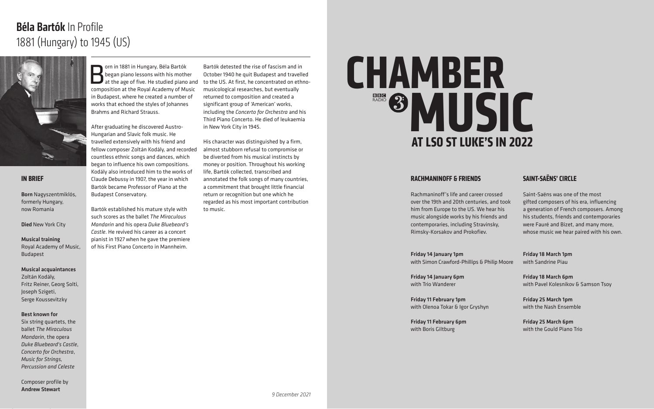**Born in 1881 in Hungary, Béla Bartók**<br>Born piano lessons with his mother<br>at the age of five. He studied piano<br>Composition at the Poyal Academy of Mu began piano lessons with his mother at the age of five. He studied piano and composition at the Royal Academy of Music in Budapest, where he created a number of works that echoed the styles of Johannes Brahms and Richard Strauss.

After graduating he discovered Austro-Hungarian and Slavic folk music. He travelled extensively with his friend and fellow composer Zoltán Kodály, and recorded countless ethnic songs and dances, which began to influence his own compositions. Kodály also introduced him to the works of Claude Debussy in 1907, the year in which Bartók became Professor of Piano at the Budapest Conservatory.

Bartók established his mature style with such scores as the ballet *The Miraculous Mandarin* and his opera *Duke Bluebeard's Castle*. He revived his career as a concert pianist in 1927 when he gave the premiere of his First Piano Concerto in Mannheim.

Bartók detested the rise of fascism and in October 1940 he quit Budapest and travelled to the US. At first, he concentrated on ethnomusicological researches, but eventually returned to composition and created a significant group of 'American' works, including the *Concerto for Orchestra* and his Third Piano Concerto. He died of leukaemia in New York City in 1945.

His character was distinguished by a firm, almost stubborn refusal to compromise or be diverted from his musical instincts by money or position. Throughout his working life, Bartók collected, transcribed and annotated the folk songs of many countries, a commitment that brought little financial return or recognition but one which he regarded as his most important contribution to music.

# 1881 (Hungary) to 1945 (US) Béla Bartók In Profile



#### **IN BRIEF**

Born Nagyszentmiklós, formerly Hungary, now Romania

Died New York City

Musical training

Royal Academy of Music, Budapest

#### Musical acquaintances

Zoltán Kodály, Fritz Reiner, Georg Solti, Joseph Szigeti, Serge Koussevitzky

#### Best known for

Six string quartets, the ballet *The Miraculous Mandarin*, the opera *Duke Bluebeard's Castle*, *Concerto for Orchestra*, *Music for Strings, Percussion and Celeste*

Composer profile by Andrew Stewart

#### **RACHMANINOFF & FRIENDS**

Rachmaninoff's life and career crossed over the 19th and 20th centuries, and took him from Europe to the US. We hear his music alongside works by his friends and contemporaries, including Stravinsky, Rimsky-Korsakov and Prokofiev.

Friday 14 January 1pm with Simon Crawford-Phillips & Philip Moore

Friday 14 January 6pm with Trio Wanderer

Friday 11 February 1pm with Olenoa Tokar & Igor Gryshyn

# **CHAMBER AT LSO ST LUKE'S IN 2022 MUSIC**

Friday 11 February 6pm with Boris Giltburg

## **SAINT-SAËNS' CIRCLE**

Saint-Saëns was one of the most gifted composers of his era, influencing a generation of French composers. Among his students, friends and contemporaries were Fauré and Bizet, and many more, whose music we hear paired with his own.

Friday 18 March 1pm with Sandrine Piau

Friday 18 March 6pm with Pavel Kolesnikov & Samson Tsoy

Friday 25 March 1pm with the Nash Ensemble

Friday 25 March 6pm with the Gould Piano Trio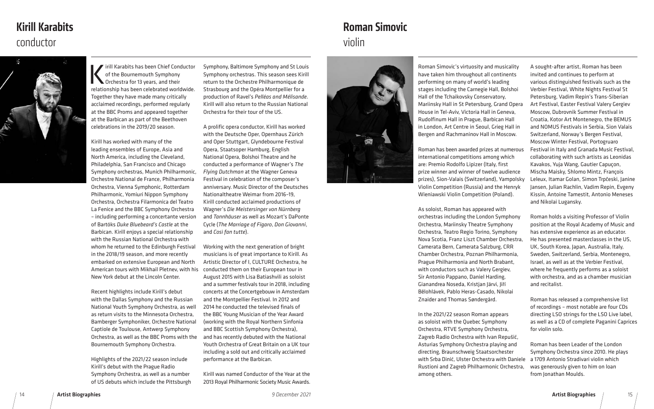## violin Roman Simovic



14 Artist Biographies 15 *9 December 2021* Artist Biographies

of recordings – most notable are four CDs directing LSO strings for the LSO Live label, as well as a CD of complete Paganini Caprices

A sought-after artist, Roman has been invited and continues to perform at various distinguished festivals such as the Verbier Festival, White Nights Festival St Petersburg, Vadim Repin's Trans-Siberian Art Festival, Easter Festival Valery Gergiev Moscow, Dubrovnik Summer Festival in Croatia, Kotor Art Montenegro, the BEMUS and NOMUS Festivals in Serbia, Sion Valais Switzerland, Norway's Bergen Festival, Moscow Winter Festival, Portogruaro Festival in Italy and Granada Music Festival, collaborating with such artists as Leonidas Kavakos, Yuja Wang, Gautier Capuçon, Mischa Maisky, Shlomo Mintz, François Leleux, Itamar Golan, Simon Trpčeski, Janine Jansen, Julian Rachlin, Vadim Repin, Evgeny Kissin, Antoine Tamestit, Antonio Meneses and Nikolai Lugansky. Roman holds a visiting Professor of Violin position at the Royal Academy of Music and has extensive experience as an educator. He has presented masterclasses in the US, UK, South Korea, Japan, Australia, Italy, Sweden, Switzerland, Serbia, Montenegro, Israel, as well as at the Verbier Festival, where he frequently performs as a soloist with orchestra, and as a chamber musician Roman Simovic's virtuosity and musicality have taken him throughout all continents performing on many of world's leading stages including the Carnegie Hall, Bolshoi Hall of the Tchaikovsky Conservatory, Mariinsky Hall in St Petersburg, Grand Opera House in Tel-Aviv, Victoria Hall in Geneva, Rudolfinum Hall in Prague, Barbican Hall in London, Art Centre in Seoul, Grieg Hall in Bergen and Rachmaninov Hall in Moscow. Roman has been awarded prizes at numerous international competitions among which are: Premio Rodolfo Lipizer (Italy, first prize winner and winner of twelve audience prizes), Sion-Valais (Switzerland), Yampolsky Violin Competition (Russia) and the Henryk Wieniawski Violin Competition (Poland). As soloist, Roman has appeared with orchestras including the London Symphony Orchestra, Mariinsky Theatre Symphony Orchestra, Teatro Regio Torino, Symphony Nova Scotia, Franz Liszt Chamber Orchestra, Camerata Bern, Camerata Salzburg, CRR Chamber Orchestra, Poznan Philharmonia, Prague Philharmonia and North Brabant, with conductors such as Valery Gergiev, Sir Antonio Pappano, Daniel Harding,

ririll Karabits has been Chief Conductor of the Bournemouth Symphony Orchestra for 13 years, and their relationship has been celebrated worldwide. Together they have made many critically acclaimed recordings, performed regularly at the BBC Proms and appeared together at the Barbican as part of the Beethoven celebrations in the 2019/20 season.

and recitalist. Roman has released a comprehensive list Gianandrea Noseda, Kristjan Järvi, Jiří Bělohlávek, Pablo Heras-Casado, Nikolai Znaider and Thomas Søndergård.

for violin solo. Roman has been Leader of the London Symphony Orchestra since 2010. He plays a 1709 Antonio Stradivari violin which was generously given to him on loan from Jonathan Moulds. In the 2021/22 season Roman appears as soloist with the Quebec Symphony Orchestra, RTVE Symphony Orchestra, Zagreb Radio Orchestra with Ivan Repušić, Asturias Symphony Orchestra playing and directing, Braunschweig Staatsorchester with Srba Dinić, Ulster Orchestra with Daniele Rustioni and Zagreb Philharmonic Orchestra, among others.

Kirill has worked with many of the leading ensembles of Europe, Asia and North America, including the Cleveland, Philadelphia, San Francisco and Chicago Symphony orchestras, Munich Philharmonic, Orchestre National de France, Philharmonia Orchestra, Vienna Symphonic, Rotterdam Philharmonic, Yomiuri Nippon Symphony Orchestra, Orchestra Filarmonica del Teatro La Fenice and the BBC Symphony Orchestra – including performing a concertante version of Bartóks *Duke Bluebeard's Castle* at the Barbican. Kirill enjoys a special relationship with the Russian National Orchestra with whom he returned to the Edinburgh Festival in the 2018/19 season, and more recently embarked on extensive European and North American tours with Mikhail Pletnev, with his conducted them on their European tour in New York debut at the Lincoln Center.

Recent highlights include Kirill's debut with the Dallas Symphony and the Russian National Youth Symphony Orchestra, as well as return visits to the Minnesota Orchestra, Bamberger Symphoniker, Orchestre National Captiole de Toulouse, Antwerp Symphony Orchestra, as well as the BBC Proms with the Bournemouth Symphony Orchestra.

Highlights of the 2021/22 season include Kirill's debut with the Prague Radio Symphony Orchestra, as well as a number of US debuts which include the Pittsburgh Symphony, Baltimore Symphony and St Louis Symphony orchestras. This season sees Kirill return to the Orchestre Philharmonique de Strasbourg and the Opéra Montpellier for a production of Ravel's *Pelléas and Mélisande*. Kirill will also return to the Russian National Orchestra for their tour of the US.

A prolific opera conductor, Kirill has worked with the Deutsche Oper, Opernhaus Zürich and Oper Stuttgart, Glyndebourne Festival Opera, Staatsoper Hamburg, English National Opera, Bolshoi Theatre and he conducted a performance of Wagner's *The Flying Dutchman* at the Wagner Geneva Festival in celebration of the composer's anniversary. Music Director of the Deutsches Nationaltheatre Weimar from 2016–19, Kirill conducted acclaimed productions of Wagner's *Die Meistersinger von Nürnberg* and *Tannhäuser* as well as Mozart's DaPonte Cycle (*The Marriage of Figaro*, *Don Giovanni*, and *Così fan tutte*).

Working with the next generation of bright musicians is of great importance to Kirill. As Artistic Director of I, CULTURE Orchestra, he August 2015 with Lisa Batiashvili as soloist and a summer festivals tour in 2018, including concerts at the Concertgebouw in Amsterdam and the Montpellier Festival. In 2012 and 2014 he conducted the televised finals of the BBC Young Musician of the Year Award (working with the Royal Northern Sinfonia and BBC Scottish Symphony Orchestra), and has recently debuted with the National Youth Orchestra of Great Britain on a UK tour including a sold out and critically acclaimed performance at the Barbican.

Kirill was named Conductor of the Year at the 2013 Royal Philharmonic Society Music Awards.



# conductor Kirill Karabits